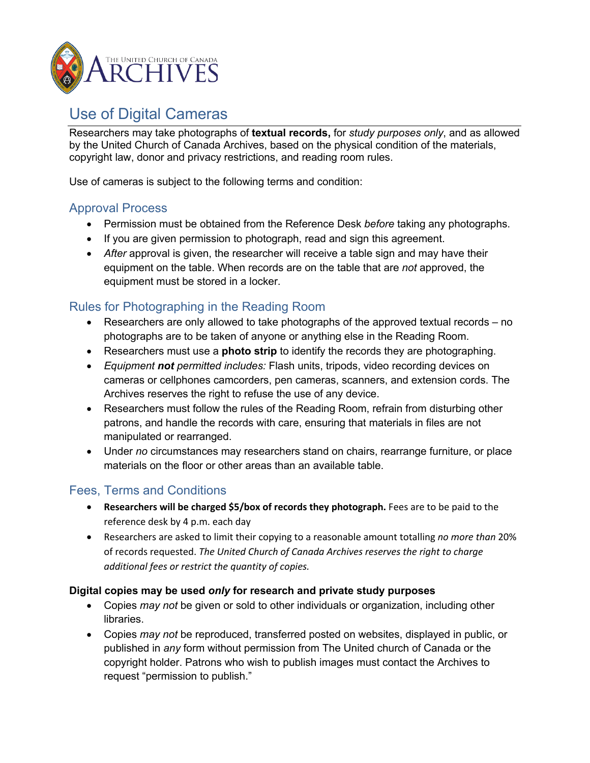

# Use of Digital Cameras

Researchers may take photographs of **textual records,** for *study purposes only*, and as allowed by the United Church of Canada Archives, based on the physical condition of the materials, copyright law, donor and privacy restrictions, and reading room rules.

Use of cameras is subject to the following terms and condition:

### Approval Process

- Permission must be obtained from the Reference Desk *before* taking any photographs.
- If you are given permission to photograph, read and sign this agreement.
- *After* approval is given, the researcher will receive a table sign and may have their equipment on the table. When records are on the table that are *not* approved, the equipment must be stored in a locker.

# Rules for Photographing in the Reading Room

- Researchers are only allowed to take photographs of the approved textual records no photographs are to be taken of anyone or anything else in the Reading Room.
- Researchers must use a **photo strip** to identify the records they are photographing.
- *Equipment not permitted includes:* Flash units, tripods, video recording devices on cameras or cellphones camcorders, pen cameras, scanners, and extension cords. The Archives reserves the right to refuse the use of any device.
- Researchers must follow the rules of the Reading Room, refrain from disturbing other patrons, and handle the records with care, ensuring that materials in files are not manipulated or rearranged.
- Under *no* circumstances may researchers stand on chairs, rearrange furniture, or place materials on the floor or other areas than an available table.

## Fees, Terms and Conditions

- **Researchers will be charged \$5/box of records they photograph.** Fees are to be paid to the reference desk by 4 p.m. each day
- Researchers are asked to limit their copying to a reasonable amount totalling *no more than* 20% of records requested. *The United Church of Canada Archives reserves the right to charge additional fees or restrict the quantity of copies.*

#### **Digital copies may be used** *only* **for research and private study purposes**

- Copies *may not* be given or sold to other individuals or organization, including other libraries.
- Copies *may not* be reproduced, transferred posted on websites, displayed in public, or published in *any* form without permission from The United church of Canada or the copyright holder. Patrons who wish to publish images must contact the Archives to request "permission to publish."